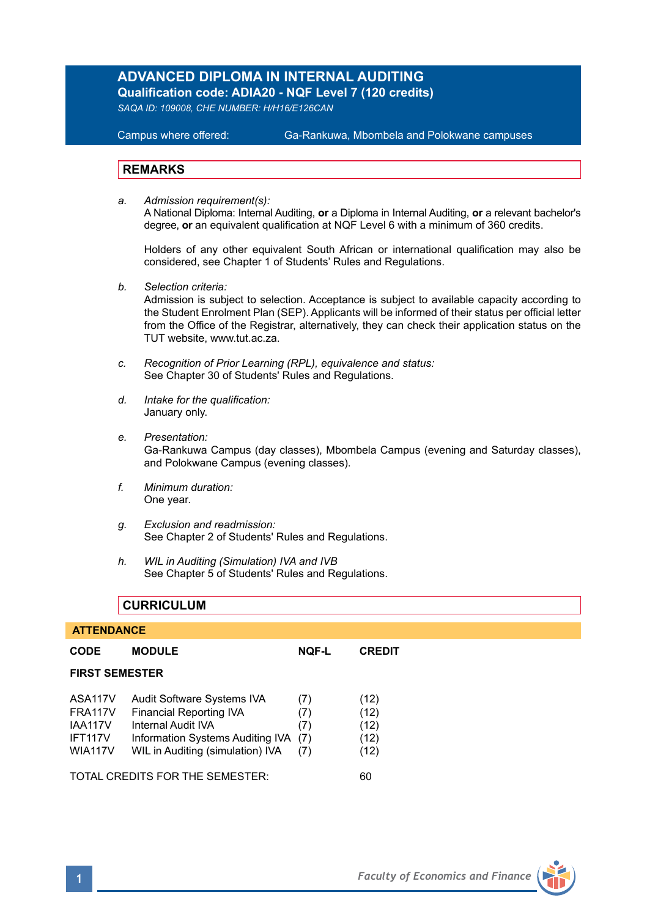# **ADVANCED DIPLOMA IN INTERNAL AUDITING**

**Qualification code: ADIA20 - NQF Level 7 (120 credits)** 

*SAQA ID: 109008, CHE NUMBER: H/H16/E126CAN* 

### **Campus where offered:**

Ga-Rankuwa, Mbombela and Polokwane campuses

### **REMARKS**

*a. Admission requirement(s):*  A National Diploma: Internal Auditing, **or** a Diploma in Internal Auditing, **or** a relevant bachelor's degree, **or** an equivalent qualification at NQF Level 6 with a minimum of 360 credits.

Holders of any other equivalent South African or international qualification may also be considered, see Chapter 1 of Students' Rules and Regulations.

*b. Selection criteria:*

Admission is subject to selection. Acceptance is subject to available capacity according to the Student Enrolment Plan (SEP). Applicants will be informed of their status per official letter from the Office of the Registrar, alternatively, they can check their application status on the TUT website, www.tut.ac.za.

- *c. Recognition of Prior Learning (RPL), equivalence and status:* See Chapter 30 of Students' Rules and Regulations.
- *d. Intake for the qualification:* January only.
- *e. Presentation:* Ga-Rankuwa Campus (day classes), Mbombela Campus (evening and Saturday classes), and Polokwane Campus (evening classes).
- *f. Minimum duration:* One year.
- *g. Exclusion and readmission:* See Chapter 2 of Students' Rules and Regulations.
- *h. WIL in Auditing (Simulation) IVA and IVB* See Chapter 5 of Students' Rules and Regulations.

### **CURRICULUM**

### **ATTENDANCE**

| CODE                                                              | <b>MODULE</b>                                                                                                                                              | <b>NOF-L</b>                    | <b>CREDIT</b>                        |  |  |
|-------------------------------------------------------------------|------------------------------------------------------------------------------------------------------------------------------------------------------------|---------------------------------|--------------------------------------|--|--|
| <b>FIRST SEMESTER</b>                                             |                                                                                                                                                            |                                 |                                      |  |  |
| ASA117V<br>FRA117V<br><b>IAA117V</b><br>IFT117V<br><b>WIA117V</b> | Audit Software Systems IVA<br><b>Financial Reporting IVA</b><br>Internal Audit IVA<br>Information Systems Auditing IVA<br>WIL in Auditing (simulation) IVA | (7)<br>(7)<br>(7)<br>(7)<br>(7) | (12)<br>(12)<br>(12)<br>(12)<br>(12) |  |  |
| TOTAL CREDITS FOR THE SEMESTER:                                   |                                                                                                                                                            |                                 |                                      |  |  |

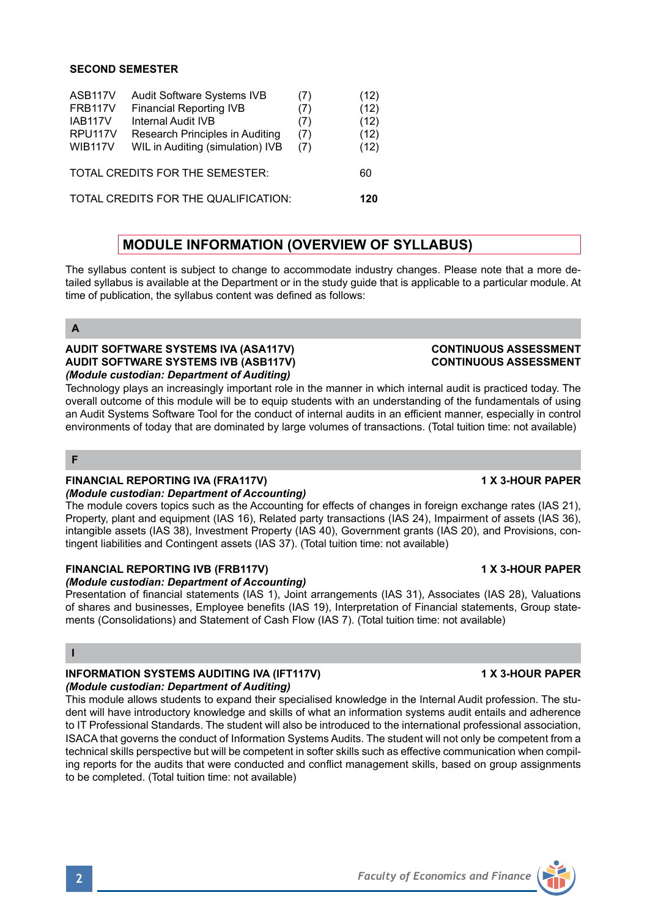### **SECOND SEMESTER**

| ASB117V                              | Audit Software Systems IVB       | (7) | (12) |
|--------------------------------------|----------------------------------|-----|------|
| <b>FRB117V</b>                       | <b>Financial Reporting IVB</b>   | (7) | (12) |
| <b>IAB117V</b>                       | Internal Audit IVB               | (7) | (12) |
| RPU <sub>117V</sub>                  | Research Principles in Auditing  | (7) | (12) |
| <b>WIB117V</b>                       | WIL in Auditing (simulation) IVB | (7) | (12) |
| TOTAL CREDITS FOR THE SEMESTER:      |                                  |     | 60   |
| TOTAL CREDITS FOR THE QUALIFICATION: |                                  |     |      |
|                                      |                                  |     |      |

# **MODULE INFORMATION (OVERVIEW OF SYLLABUS)**

The syllabus content is subject to change to accommodate industry changes. Please note that a more detailed syllabus is available at the Department or in the study guide that is applicable to a particular module. At time of publication, the syllabus content was defined as follows:

**A**

### **AUDIT SOFTWARE SYSTEMS IVA (ASA117V) CONTINUOUS ASSESSMENT AUDIT SOFTWARE SYSTEMS IVB (ASB117V)** *(Module custodian: Department of Auditing)*

Technology plays an increasingly important role in the manner in which internal audit is practiced today. The overall outcome of this module will be to equip students with an understanding of the fundamentals of using an Audit Systems Software Tool for the conduct of internal audits in an efficient manner, especially in control environments of today that are dominated by large volumes of transactions. (Total tuition time: not available)

### **F**

### **FINANCIAL REPORTING IVA (FRA117V) 1 X 3-HOUR PAPER**

### *(Module custodian: Department of Accounting)*

The module covers topics such as the Accounting for effects of changes in foreign exchange rates (IAS 21), Property, plant and equipment (IAS 16), Related party transactions (IAS 24), Impairment of assets (IAS 36), intangible assets (IAS 38), Investment Property (IAS 40), Government grants (IAS 20), and Provisions, contingent liabilities and Contingent assets (IAS 37). (Total tuition time: not available)

### **FINANCIAL REPORTING IVB (FRB117V) 1 X 3-HOUR PAPER**

### *(Module custodian: Department of Accounting)*

Presentation of financial statements (IAS 1), Joint arrangements (IAS 31), Associates (IAS 28), Valuations of shares and businesses, Employee benefits (IAS 19), Interpretation of Financial statements, Group statements (Consolidations) and Statement of Cash Flow (IAS 7). (Total tuition time: not available)

### **I**

## **INFORMATION SYSTEMS AUDITING IVA (IFT117V) 1 X 3-HOUR PAPER**

### *(Module custodian: Department of Auditing)*

This module allows students to expand their specialised knowledge in the Internal Audit profession. The student will have introductory knowledge and skills of what an information systems audit entails and adherence to IT Professional Standards. The student will also be introduced to the international professional association, ISACA that governs the conduct of Information Systems Audits. The student will not only be competent from a technical skills perspective but will be competent in softer skills such as effective communication when compiling reports for the audits that were conducted and conflict management skills, based on group assignments to be completed. (Total tuition time: not available)